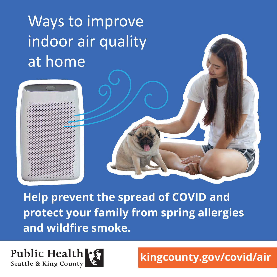# Ways to improve indoor air quality at home





kingcounty.gov/covid/air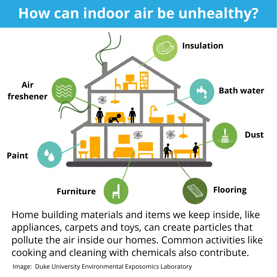### How can indoor air be unhealthy?



Home building materials and items we keep inside, like appliances, carpets and toys, can create particles that pollute the air inside our homes. Common activities like cooking and cleaning with chemicals also contribute.

Image: Duke University Environmental Exposomics Laboratory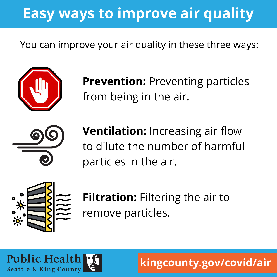## Easy ways to improve air quality

You can improve your air quality in these three ways:



**Prevention: Preventing particles** from being in the air.



**Ventilation:** Increasing air flow to dilute the number of harmful particles in the air.



Filtration: Filtering the air to remove particles.



kingcounty.gov/covid/air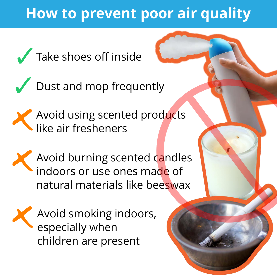#### How to prevent poor air quality







Avoid burning scented candles indoors or use ones made of natural materials like beeswax



Avoid smoking indoors, especially when children are present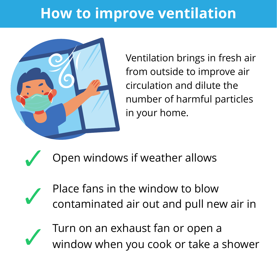### How to improve ventilation



Ventilation brings in fresh air from outside to improve air circulation and dilute the number of harmful particles in your home.

Open windows if weather allows

Place fans in the window to blow contaminated air out and pull new air in



Turn on an exhaust fan or open a window when you cook or take a shower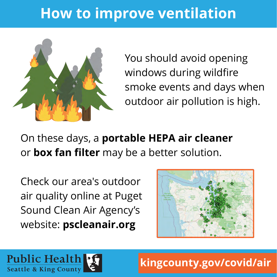### How to improve ventilation



You should avoid opening windows during wildfire smoke events and days when outdoor air pollution is high.

On these days, a portable HEPA air cleaner or box fan filter may be a better solution.

Check our area's outdoor air quality online at Puget Sound Clean Air Agency's website: pscleanair.org



**Public Health** Seattle & King County

kingcounty.gov/covid/air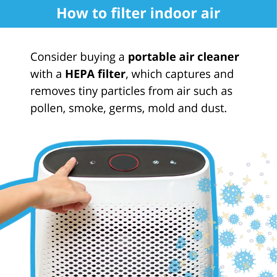#### How to filter indoor air

Consider buying a portable air cleaner with a **HEPA filter**, which captures and removes tiny particles from air such as pollen, smoke, germs, mold and dust.